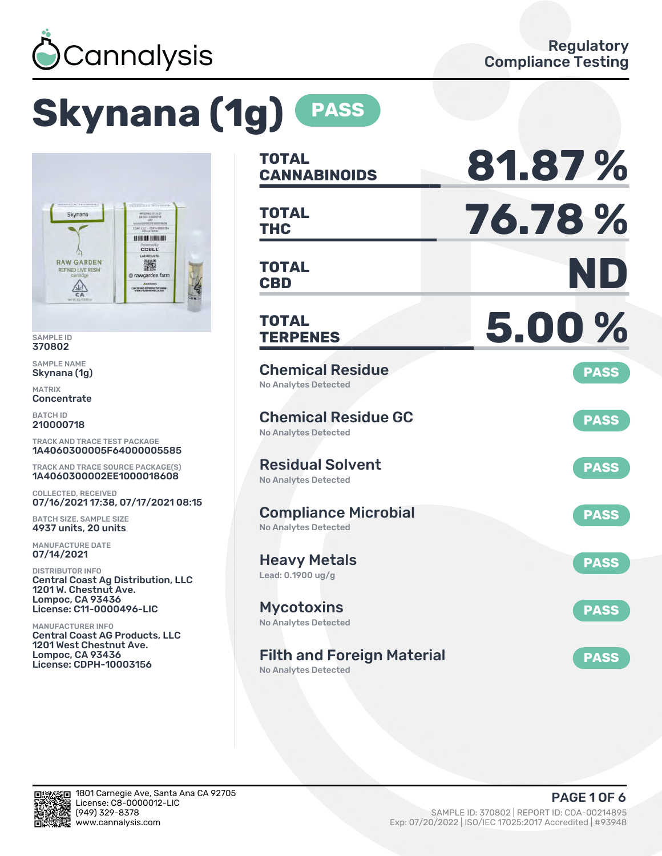

# **Skynana (1g) PASS**



SAMPLE ID 370802

SAMPLE NAME Skynana (1g)

MATRIX **Concentrate** 

BATCH ID 210000718

TRACK AND TRACE TEST PACKAGE 1A4060300005F64000005585

TRACK AND TRACE SOURCE PACKAGE(S) 1A4060300002EE1000018608

COLLECTED, RECEIVED 07/16/2021 17:38, 07/17/2021 08:15

BATCH SIZE, SAMPLE SIZE 4937 units, 20 units

MANUFACTURE DATE 07/14/2021

DISTRIBUTOR INFO Central Coast Ag Distribution, LLC 1201 W. Chestnut Ave. Lompoc, CA 93436 License: C11-0000496-LIC

MANUFACTURER INFO Central Coast AG Products, LLC 1201 West Chestnut Ave. Lompoc, CA 93436 License: CDPH-10003156

| <b>TOTAL</b><br><b>CANNABINOIDS</b>                              | 81.87%      |
|------------------------------------------------------------------|-------------|
| <b>TOTAL</b><br><b>THC</b>                                       | 76.78%      |
| TOTAL<br><b>CBD</b>                                              | ND          |
| <b>TOTAL</b><br><b>TERPENES</b>                                  | 5.00%       |
| <b>Chemical Residue</b><br><b>No Analytes Detected</b>           | <b>PASS</b> |
| <b>Chemical Residue GC</b><br><b>No Analytes Detected</b>        | <b>PASS</b> |
| <b>Residual Solvent</b><br><b>No Analytes Detected</b>           | <b>PASS</b> |
| <b>Compliance Microbial</b><br><b>No Analytes Detected</b>       | <b>PASS</b> |
| <b>Heavy Metals</b><br>Lead: 0.1900 ug/g                         | <b>PASS</b> |
| <b>Mycotoxins</b><br>No Analytes Detected                        | <b>PASS</b> |
| <b>Filth and Foreign Material</b><br><b>No Analytes Detected</b> | <b>PASS</b> |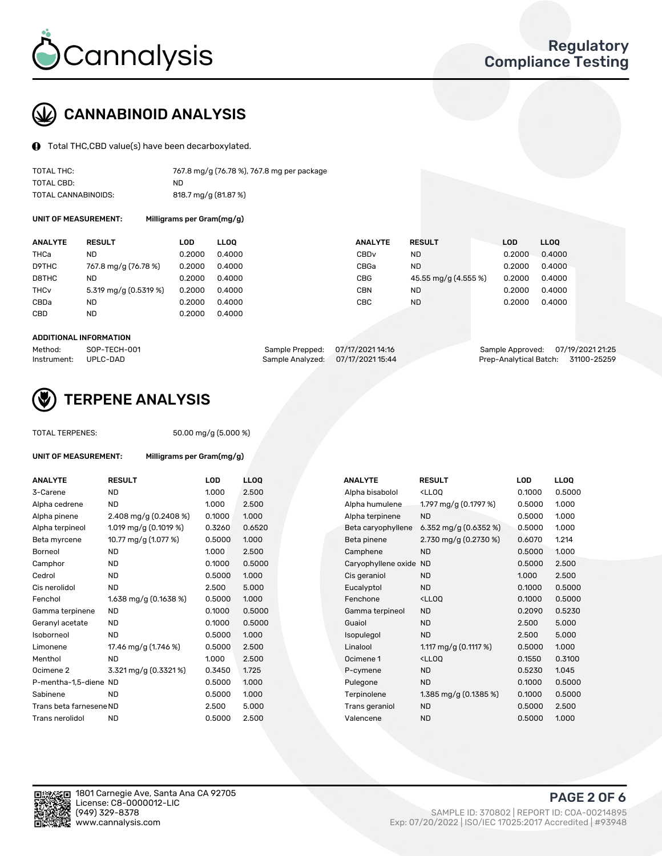

### CANNABINOID ANALYSIS

Total THC,CBD value(s) have been decarboxylated.

| TOTAL THC:          | 767.8 mg/g (76.78 %), 767.8 mg per package |
|---------------------|--------------------------------------------|
| TOTAL CBD:          | ND.                                        |
| TOTAL CANNABINOIDS: | 818.7 mg/g (81.87 %)                       |

UNIT OF MEASUREMENT: Milligrams per Gram(mg/g)

| <b>ANALYTE</b>         | <b>RESULT</b>         | LOD    | <b>LLOO</b> | <b>ANALYTE</b>   | <b>RESULT</b>        | <b>LOD</b> | <b>LLOO</b> |
|------------------------|-----------------------|--------|-------------|------------------|----------------------|------------|-------------|
| THCa                   | ND                    | 0.2000 | 0.4000      | CBD <sub>v</sub> | ND                   | 0.2000     | 0.4000      |
| D9THC                  | 767.8 mg/g (76.78 %)  | 0.2000 | 0.4000      | CBGa             | <b>ND</b>            | 0.2000     | 0.4000      |
| D8THC                  | ND                    | 0.2000 | 0.4000      | <b>CBG</b>       | 45.55 mg/g (4.555 %) | 0.2000     | 0.4000      |
| <b>THC<sub>v</sub></b> | 5.319 mg/g (0.5319 %) | 0.2000 | 0.4000      | CBN              | <b>ND</b>            | 0.2000     | 0.4000      |
| CBDa                   | <b>ND</b>             | 0.2000 | 0.4000      | СВС              | <b>ND</b>            | 0.2000     | 0.4000      |
| CBD                    | <b>ND</b>             | 0.2000 | 0.4000      |                  |                      |            |             |
|                        |                       |        |             |                  |                      |            |             |

#### ADDITIONAL INFORMATION

| Method:              | SOP-TECH-001 | Sample Prepped: 07/17/2021 14:16  | Sample Approved: 07/19/2021 21:25  |  |
|----------------------|--------------|-----------------------------------|------------------------------------|--|
| Instrument: UPLC-DAD |              | Sample Analyzed: 07/17/2021 15:44 | Prep-Analytical Batch: 31100-25259 |  |



### TERPENE ANALYSIS

TOTAL TERPENES: 50.00 mg/g (5.000 %)

| <b>UNIT OF MEASUREMENT:</b> | Milligrams per Gram(mg/g) |        |             |                        |                                                    |        |                  |
|-----------------------------|---------------------------|--------|-------------|------------------------|----------------------------------------------------|--------|------------------|
| <b>ANALYTE</b>              | <b>RESULT</b>             | LOD    | <b>LLOO</b> | <b>ANALYTE</b>         | <b>RESULT</b>                                      | LOD    | LL <sub>OO</sub> |
| 3-Carene                    | <b>ND</b>                 | 1.000  | 2.500       | Alpha bisabolol        | <lloq< td=""><td>0.1000</td><td>0.500</td></lloq<> | 0.1000 | 0.500            |
| Alpha cedrene               | <b>ND</b>                 | 1.000  | 2.500       | Alpha humulene         | 1.797 mg/g $(0.1797%)$                             | 0.5000 | 1.000            |
| Alpha pinene                | 2.408 mg/g $(0.2408\%)$   | 0.1000 | 1.000       | Alpha terpinene        | <b>ND</b>                                          | 0.5000 | 1.000            |
| Alpha terpineol             | 1.019 mg/g $(0.1019\%)$   | 0.3260 | 0.6520      | Beta caryophyllene     | 6.352 mg/g $(0.6352%)$                             | 0.5000 | 1.000            |
| Beta myrcene                | 10.77 mg/g (1.077 %)      | 0.5000 | 1.000       | Beta pinene            | 2.730 mg/g (0.2730 %)                              | 0.6070 | 1.214            |
| Borneol                     | <b>ND</b>                 | 1.000  | 2.500       | Camphene               | <b>ND</b>                                          | 0.5000 | 1.000            |
| Camphor                     | <b>ND</b>                 | 0.1000 | 0.5000      | Caryophyllene oxide ND |                                                    | 0.5000 | 2.500            |
| Cedrol                      | <b>ND</b>                 | 0.5000 | 1.000       | Cis geraniol           | <b>ND</b>                                          | 1.000  | 2.500            |
| Cis nerolidol               | <b>ND</b>                 | 2.500  | 5.000       | Eucalyptol             | <b>ND</b>                                          | 0.1000 | 0.500            |
| Fenchol                     | 1.638 mg/g $(0.1638\%)$   | 0.5000 | 1.000       | Fenchone               | <lloq< td=""><td>0.1000</td><td>0.500</td></lloq<> | 0.1000 | 0.500            |
| Gamma terpinene             | <b>ND</b>                 | 0.1000 | 0.5000      | Gamma terpineol        | <b>ND</b>                                          | 0.2090 | 0.523            |
| Geranyl acetate             | <b>ND</b>                 | 0.1000 | 0.5000      | Guaiol                 | <b>ND</b>                                          | 2.500  | 5.000            |
| Isoborneol                  | <b>ND</b>                 | 0.5000 | 1.000       | Isopulegol             | <b>ND</b>                                          | 2.500  | 5.000            |
| Limonene                    | 17.46 mg/g (1.746 %)      | 0.5000 | 2.500       | Linalool               | 1.117 mg/g $(0.1117%)$                             | 0.5000 | 1.000            |
| Menthol                     | <b>ND</b>                 | 1.000  | 2.500       | Ocimene 1              | <lloq< td=""><td>0.1550</td><td>0.310</td></lloq<> | 0.1550 | 0.310            |
| Ocimene <sub>2</sub>        | 3.321 mg/g (0.3321%)      | 0.3450 | 1.725       | P-cymene               | <b>ND</b>                                          | 0.5230 | 1.045            |
| P-mentha-1,5-diene ND       |                           | 0.5000 | 1.000       | Pulegone               | <b>ND</b>                                          | 0.1000 | 0.500            |
| Sabinene                    | <b>ND</b>                 | 0.5000 | 1.000       | Terpinolene            | 1.385 mg/g (0.1385 %)                              | 0.1000 | 0.500            |
| Trans beta farnesene ND     |                           | 2.500  | 5.000       | Trans geraniol         | <b>ND</b>                                          | 0.5000 | 2.500            |
| Trans nerolidol             | <b>ND</b>                 | 0.5000 | 2.500       | Valencene              | <b>ND</b>                                          | 0.5000 | 1.000            |

| <b>ANALYTE</b>          | <b>RESULT</b>           | <b>LOD</b> | <b>LLOQ</b> | <b>ANALYTE</b>      | <b>RESULT</b>                                       | <b>LOD</b> | <b>LLOQ</b> |
|-------------------------|-------------------------|------------|-------------|---------------------|-----------------------------------------------------|------------|-------------|
| 3-Carene                | <b>ND</b>               | 1.000      | 2.500       | Alpha bisabolol     | <ll0q< td=""><td>0.1000</td><td>0.5000</td></ll0q<> | 0.1000     | 0.5000      |
| Alpha cedrene           | <b>ND</b>               | 1.000      | 2.500       | Alpha humulene      | 1.797 mg/g (0.1797 %)                               | 0.5000     | 1.000       |
| Alpha pinene            | 2.408 mg/g $(0.2408\%)$ | 0.1000     | 1.000       | Alpha terpinene     | <b>ND</b>                                           | 0.5000     | 1.000       |
| Alpha terpineol         | 1.019 mg/g (0.1019 %)   | 0.3260     | 0.6520      | Beta caryophyllene  | 6.352 mg/g $(0.6352%)$                              | 0.5000     | 1.000       |
| Beta myrcene            | 10.77 mg/g (1.077 %)    | 0.5000     | 1.000       | Beta pinene         | 2.730 mg/g (0.2730 %)                               | 0.6070     | 1.214       |
| Borneol                 | <b>ND</b>               | 1.000      | 2.500       | Camphene            | <b>ND</b>                                           | 0.5000     | 1.000       |
| Camphor                 | <b>ND</b>               | 0.1000     | 0.5000      | Caryophyllene oxide | <b>ND</b>                                           | 0.5000     | 2.500       |
| Cedrol                  | <b>ND</b>               | 0.5000     | 1.000       | Cis geraniol        | <b>ND</b>                                           | 1.000      | 2.500       |
| Cis nerolidol           | <b>ND</b>               | 2.500      | 5.000       | Eucalyptol          | <b>ND</b>                                           | 0.1000     | 0.5000      |
| Fenchol                 | 1.638 mg/g $(0.1638\%)$ | 0.5000     | 1.000       | Fenchone            | <ll0q< td=""><td>0.1000</td><td>0.5000</td></ll0q<> | 0.1000     | 0.5000      |
| Gamma terpinene         | <b>ND</b>               | 0.1000     | 0.5000      | Gamma terpineol     | <b>ND</b>                                           | 0.2090     | 0.5230      |
| Geranyl acetate         | ND.                     | 0.1000     | 0.5000      | Guaiol              | <b>ND</b>                                           | 2.500      | 5.000       |
| Isoborneol              | <b>ND</b>               | 0.5000     | 1.000       | Isopulegol          | <b>ND</b>                                           | 2.500      | 5.000       |
| Limonene                | 17.46 mg/g (1.746 %)    | 0.5000     | 2.500       | Linalool            | 1.117 mg/g (0.1117 %)                               | 0.5000     | 1.000       |
| Menthol                 | <b>ND</b>               | 1.000      | 2.500       | Ocimene 1           | <ll0q< td=""><td>0.1550</td><td>0.3100</td></ll0q<> | 0.1550     | 0.3100      |
| Ocimene 2               | 3.321 mg/g (0.3321%)    | 0.3450     | 1.725       | P-cymene            | <b>ND</b>                                           | 0.5230     | 1.045       |
| P-mentha-1,5-diene ND   |                         | 0.5000     | 1.000       | Pulegone            | <b>ND</b>                                           | 0.1000     | 0.5000      |
| Sabinene                | <b>ND</b>               | 0.5000     | 1.000       | Terpinolene         | 1.385 mg/g (0.1385 %)                               | 0.1000     | 0.5000      |
| Trans beta farnesene ND |                         | 2.500      | 5.000       | Trans geraniol      | <b>ND</b>                                           | 0.5000     | 2.500       |
| Trans nerolidol         | <b>ND</b>               | 0.5000     | 2.500       | Valencene           | <b>ND</b>                                           | 0.5000     | 1.000       |
|                         |                         |            |             |                     |                                                     |            |             |



PAGE 2 OF 6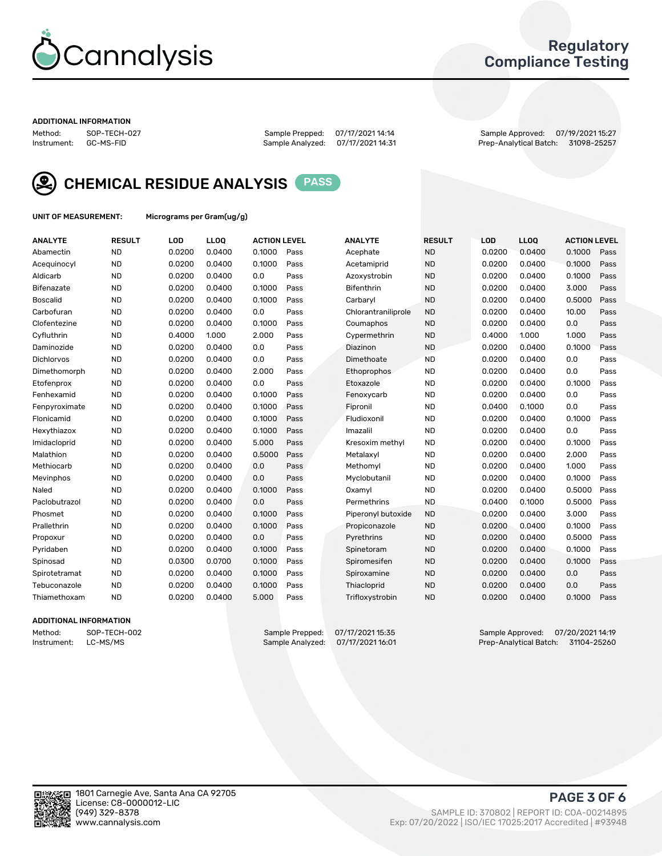

### Regulatory Compliance Testing

#### ADDITIONAL INFORMATION

Method: SOP-TECH-027 Sample Prepped: 07/17/2021 14:14 Sample Approved: 07/19/2021 15:27 Prep-Analytical Batch: 31098-25257



CHEMICAL RESIDUE ANALYSIS PASS

UNIT OF MEASUREMENT: Micrograms per Gram(ug/g)

| <b>ANALYTE</b>  | <b>RESULT</b> | LOD    | LLOQ   | <b>ACTION LEVEL</b> |      | <b>ANALYTE</b>      | <b>RESULT</b> | <b>LOD</b> | <b>LLOQ</b> | <b>ACTION LEVEL</b> |      |
|-----------------|---------------|--------|--------|---------------------|------|---------------------|---------------|------------|-------------|---------------------|------|
| Abamectin       | <b>ND</b>     | 0.0200 | 0.0400 | 0.1000              | Pass | Acephate            | <b>ND</b>     | 0.0200     | 0.0400      | 0.1000              | Pass |
| Acequinocyl     | <b>ND</b>     | 0.0200 | 0.0400 | 0.1000              | Pass | Acetamiprid         | <b>ND</b>     | 0.0200     | 0.0400      | 0.1000              | Pass |
| Aldicarb        | <b>ND</b>     | 0.0200 | 0.0400 | 0.0                 | Pass | Azoxystrobin        | <b>ND</b>     | 0.0200     | 0.0400      | 0.1000              | Pass |
| Bifenazate      | <b>ND</b>     | 0.0200 | 0.0400 | 0.1000              | Pass | Bifenthrin          | <b>ND</b>     | 0.0200     | 0.0400      | 3.000               | Pass |
| <b>Boscalid</b> | <b>ND</b>     | 0.0200 | 0.0400 | 0.1000              | Pass | Carbaryl            | <b>ND</b>     | 0.0200     | 0.0400      | 0.5000              | Pass |
| Carbofuran      | <b>ND</b>     | 0.0200 | 0.0400 | 0.0                 | Pass | Chlorantraniliprole | <b>ND</b>     | 0.0200     | 0.0400      | 10.00               | Pass |
| Clofentezine    | <b>ND</b>     | 0.0200 | 0.0400 | 0.1000              | Pass | Coumaphos           | <b>ND</b>     | 0.0200     | 0.0400      | 0.0                 | Pass |
| Cyfluthrin      | <b>ND</b>     | 0.4000 | 1.000  | 2.000               | Pass | Cypermethrin        | <b>ND</b>     | 0.4000     | 1.000       | 1.000               | Pass |
| Daminozide      | <b>ND</b>     | 0.0200 | 0.0400 | 0.0                 | Pass | Diazinon            | <b>ND</b>     | 0.0200     | 0.0400      | 0.1000              | Pass |
| Dichlorvos      | <b>ND</b>     | 0.0200 | 0.0400 | 0.0                 | Pass | Dimethoate          | <b>ND</b>     | 0.0200     | 0.0400      | 0.0                 | Pass |
| Dimethomorph    | <b>ND</b>     | 0.0200 | 0.0400 | 2.000               | Pass | Ethoprophos         | <b>ND</b>     | 0.0200     | 0.0400      | 0.0                 | Pass |
| Etofenprox      | <b>ND</b>     | 0.0200 | 0.0400 | 0.0                 | Pass | Etoxazole           | <b>ND</b>     | 0.0200     | 0.0400      | 0.1000              | Pass |
| Fenhexamid      | <b>ND</b>     | 0.0200 | 0.0400 | 0.1000              | Pass | Fenoxycarb          | <b>ND</b>     | 0.0200     | 0.0400      | 0.0                 | Pass |
| Fenpyroximate   | <b>ND</b>     | 0.0200 | 0.0400 | 0.1000              | Pass | Fipronil            | <b>ND</b>     | 0.0400     | 0.1000      | 0.0                 | Pass |
| Flonicamid      | <b>ND</b>     | 0.0200 | 0.0400 | 0.1000              | Pass | Fludioxonil         | <b>ND</b>     | 0.0200     | 0.0400      | 0.1000              | Pass |
| Hexythiazox     | <b>ND</b>     | 0.0200 | 0.0400 | 0.1000              | Pass | Imazalil            | <b>ND</b>     | 0.0200     | 0.0400      | 0.0                 | Pass |
| Imidacloprid    | <b>ND</b>     | 0.0200 | 0.0400 | 5.000               | Pass | Kresoxim methyl     | <b>ND</b>     | 0.0200     | 0.0400      | 0.1000              | Pass |
| Malathion       | <b>ND</b>     | 0.0200 | 0.0400 | 0.5000              | Pass | Metalaxyl           | <b>ND</b>     | 0.0200     | 0.0400      | 2.000               | Pass |
| Methiocarb      | <b>ND</b>     | 0.0200 | 0.0400 | 0.0                 | Pass | Methomyl            | <b>ND</b>     | 0.0200     | 0.0400      | 1.000               | Pass |
| Mevinphos       | <b>ND</b>     | 0.0200 | 0.0400 | 0.0                 | Pass | Myclobutanil        | <b>ND</b>     | 0.0200     | 0.0400      | 0.1000              | Pass |
| Naled           | <b>ND</b>     | 0.0200 | 0.0400 | 0.1000              | Pass | Oxamyl              | <b>ND</b>     | 0.0200     | 0.0400      | 0.5000              | Pass |
| Paclobutrazol   | <b>ND</b>     | 0.0200 | 0.0400 | 0.0                 | Pass | Permethrins         | <b>ND</b>     | 0.0400     | 0.1000      | 0.5000              | Pass |
| Phosmet         | <b>ND</b>     | 0.0200 | 0.0400 | 0.1000              | Pass | Piperonyl butoxide  | <b>ND</b>     | 0.0200     | 0.0400      | 3.000               | Pass |
| Prallethrin     | <b>ND</b>     | 0.0200 | 0.0400 | 0.1000              | Pass | Propiconazole       | <b>ND</b>     | 0.0200     | 0.0400      | 0.1000              | Pass |
| Propoxur        | <b>ND</b>     | 0.0200 | 0.0400 | 0.0                 | Pass | Pyrethrins          | <b>ND</b>     | 0.0200     | 0.0400      | 0.5000              | Pass |
| Pyridaben       | <b>ND</b>     | 0.0200 | 0.0400 | 0.1000              | Pass | Spinetoram          | <b>ND</b>     | 0.0200     | 0.0400      | 0.1000              | Pass |
| Spinosad        | <b>ND</b>     | 0.0300 | 0.0700 | 0.1000              | Pass | Spiromesifen        | <b>ND</b>     | 0.0200     | 0.0400      | 0.1000              | Pass |
| Spirotetramat   | <b>ND</b>     | 0.0200 | 0.0400 | 0.1000              | Pass | Spiroxamine         | <b>ND</b>     | 0.0200     | 0.0400      | 0.0                 | Pass |
| Tebuconazole    | <b>ND</b>     | 0.0200 | 0.0400 | 0.1000              | Pass | Thiacloprid         | <b>ND</b>     | 0.0200     | 0.0400      | 0.0                 | Pass |
| Thiamethoxam    | <b>ND</b>     | 0.0200 | 0.0400 | 5.000               | Pass | Trifloxystrobin     | <b>ND</b>     | 0.0200     | 0.0400      | 0.1000              | Pass |

#### ADDITIONAL INFORMATION

Method: SOP-TECH-002 Sample Prepped: 07/17/2021 15:35 Sample Approved: 07/20/2021 14:19<br>Instrument: LC-MS/MS Sample Analyzed: 07/17/2021 16:01 Prep-Analytical Batch: 31104-25260 Prep-Analytical Batch: 31104-25260

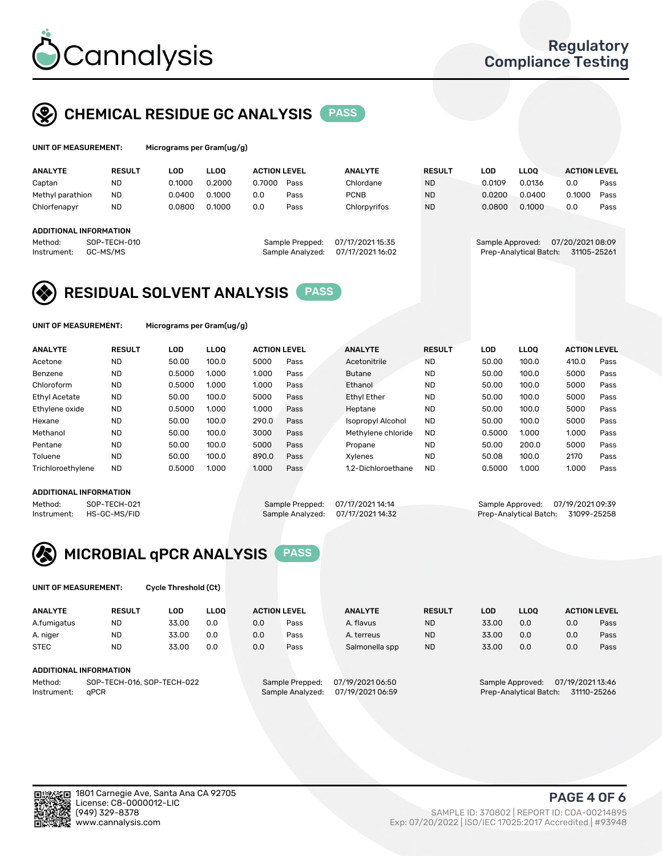

### CHEMICAL RESIDUE GC ANALYSIS PASS

| UNIT OF MEASUREMENT: | Micrograms |
|----------------------|------------|
|                      |            |

per Gram(ug/g)

| <b>ANALYTE</b>         | <b>RESULT</b>            | LOD    | <b>LLOO</b> | <b>ACTION LEVEL</b> |                                     | <b>ANALYTE</b>                       | <b>RESULT</b> | LOD              | <b>LLOO</b>            | <b>ACTION LEVEL</b>            |      |
|------------------------|--------------------------|--------|-------------|---------------------|-------------------------------------|--------------------------------------|---------------|------------------|------------------------|--------------------------------|------|
| Captan                 | <b>ND</b>                | 0.1000 | 0.2000      | 0.7000              | Pass                                | Chlordane                            | <b>ND</b>     | 0.0109           | 0.0136                 | 0.0                            | Pass |
| Methyl parathion       | <b>ND</b>                | 0.0400 | 0.1000      | 0.0                 | Pass                                | <b>PCNB</b>                          | <b>ND</b>     | 0.0200           | 0.0400                 | 0.1000                         | Pass |
| Chlorfenapyr           | <b>ND</b>                | 0.0800 | 0.1000      | 0.0                 | Pass                                | Chlorpyrifos                         | <b>ND</b>     | 0.0800           | 0.1000                 | 0.0                            | Pass |
|                        |                          |        |             |                     |                                     |                                      |               |                  |                        |                                |      |
| ADDITIONAL INFORMATION |                          |        |             |                     |                                     |                                      |               |                  |                        |                                |      |
| Method:<br>Instrument: | SOP-TECH-010<br>GC-MS/MS |        |             |                     | Sample Prepped:<br>Sample Analyzed: | 07/17/2021 15:35<br>07/17/2021 16:02 |               | Sample Approved: | Prep-Analytical Batch: | 07/20/202108:09<br>31105-25261 |      |

### RESIDUAL SOLVENT ANALYSIS PASS

UNIT OF MEASUREMENT: Micrograms per Gram(ug/g)

| <b>ANALYTE</b>    | <b>RESULT</b> | LOD    | <b>LLOO</b> | <b>ACTION LEVEL</b> |      | <b>ANALYTE</b>     | <b>RESULT</b> | LOD    | <b>LLOO</b> | <b>ACTION LEVEL</b> |      |
|-------------------|---------------|--------|-------------|---------------------|------|--------------------|---------------|--------|-------------|---------------------|------|
| Acetone           | <b>ND</b>     | 50.00  | 100.0       | 5000                | Pass | Acetonitrile       | <b>ND</b>     | 50.00  | 100.0       | 410.0               | Pass |
| Benzene           | <b>ND</b>     | 0.5000 | 1.000       | 1.000               | Pass | <b>Butane</b>      | <b>ND</b>     | 50.00  | 100.0       | 5000                | Pass |
| Chloroform        | <b>ND</b>     | 0.5000 | 1.000       | 1.000               | Pass | Ethanol            | <b>ND</b>     | 50.00  | 100.0       | 5000                | Pass |
| Ethyl Acetate     | <b>ND</b>     | 50.00  | 100.0       | 5000                | Pass | <b>Ethyl Ether</b> | <b>ND</b>     | 50.00  | 100.0       | 5000                | Pass |
| Ethylene oxide    | <b>ND</b>     | 0.5000 | 1.000       | 1.000               | Pass | Heptane            | <b>ND</b>     | 50.00  | 100.0       | 5000                | Pass |
| Hexane            | <b>ND</b>     | 50.00  | 100.0       | 290.0               | Pass | Isopropyl Alcohol  | <b>ND</b>     | 50.00  | 100.0       | 5000                | Pass |
| Methanol          | <b>ND</b>     | 50.00  | 100.0       | 3000                | Pass | Methylene chloride | <b>ND</b>     | 0.5000 | 1.000       | 1.000               | Pass |
| Pentane           | <b>ND</b>     | 50.00  | 100.0       | 5000                | Pass | Propane            | <b>ND</b>     | 50.00  | 200.0       | 5000                | Pass |
| Toluene           | <b>ND</b>     | 50.00  | 100.0       | 890.0               | Pass | Xvlenes            | <b>ND</b>     | 50.08  | 100.0       | 2170                | Pass |
| Trichloroethylene | <b>ND</b>     | 0.5000 | 1.000       | 1.000               | Pass | 1.2-Dichloroethane | <b>ND</b>     | 0.5000 | 1.000       | 1.000               | Pass |

#### ADDITIONAL INFORMATION

Method: SOP-TECH-021 Sample Prepped: 07/17/2021 14:14 Sample Approved: 07/19/2021 09:39<br>Instrument: HS-GC-MS/FID Sample Analyzed: 07/17/2021 14:32 Prep-Analytical Batch: 31099-25258 Prep-Analytical Batch: 31099-25258



UNIT OF MEASUREMENT: Cycle Threshold (Ct)

| <b>ANALYTE</b>                        | <b>RESULT</b>          | LOD   | <b>LLOO</b> | <b>ACTION LEVEL</b> |                  | <b>ANALYTE</b> | <b>RESULT</b> | LOD              | <b>LLOO</b>      |     | <b>ACTION LEVEL</b> |
|---------------------------------------|------------------------|-------|-------------|---------------------|------------------|----------------|---------------|------------------|------------------|-----|---------------------|
| A.fumigatus                           | <b>ND</b>              | 33.00 | 0.0         | 0.0                 | Pass             | A. flavus      | <b>ND</b>     | 33.00            | 0.0              | 0.0 | Pass                |
| A. niger                              | <b>ND</b>              | 33.00 | 0.0         | 0.0                 | Pass             | A. terreus     | <b>ND</b>     | 33.00            | 0.0              | 0.0 | Pass                |
| <b>STEC</b>                           | <b>ND</b>              | 33.00 | 0.0         | 0.0                 | Pass             | Salmonella spp | <b>ND</b>     | 33.00            | 0.0              | 0.0 | Pass                |
|                                       | ADDITIONAL INFORMATION |       |             |                     |                  |                |               |                  |                  |     |                     |
| SOP-TECH-016, SOP-TECH-022<br>Method: |                        |       |             | Sample Prepped:     | 07/19/2021 06:50 |                |               | Sample Approved: | 07/19/2021 13:46 |     |                     |

Instrument: qPCR Sample Analyzed: 07/19/2021 06:59 Prep-Analytical Batch: 31110-25266

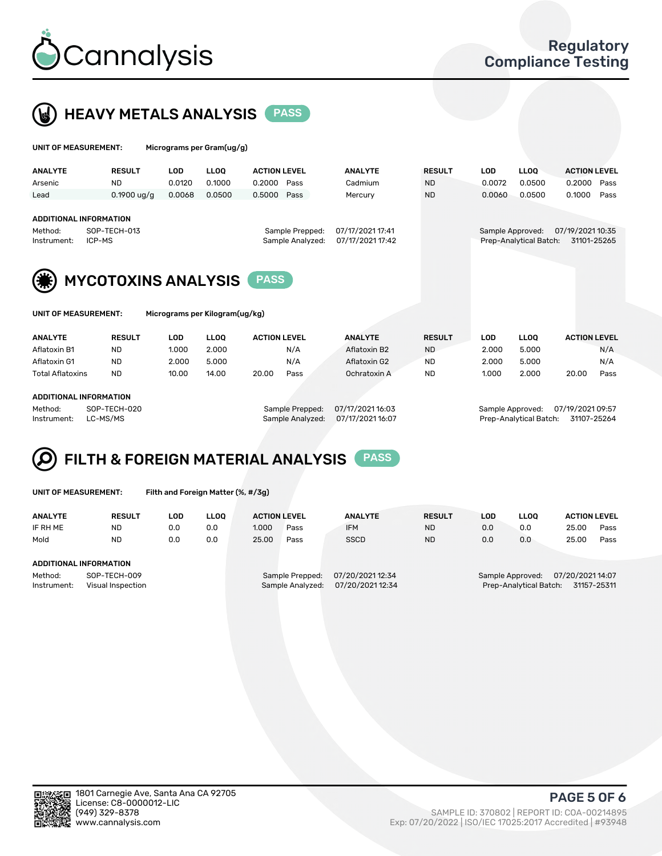

 $U$ UNIT OF MEASUREMENT: Micrograms per Gram(ug/g)



| $1.001$ egi anno por orann $(497, 97)$                  |                        |            |             |                     |                        |                  |               |            |             |                     |      |  |
|---------------------------------------------------------|------------------------|------------|-------------|---------------------|------------------------|------------------|---------------|------------|-------------|---------------------|------|--|
| <b>ANALYTE</b>                                          | <b>RESULT</b>          | <b>LOD</b> | <b>LLOO</b> | <b>ACTION LEVEL</b> |                        | <b>ANALYTE</b>   | <b>RESULT</b> | <b>LOD</b> | <b>LLOO</b> | <b>ACTION LEVEL</b> |      |  |
| Arsenic                                                 | <b>ND</b>              | 0.0120     | 0.1000      | 0.2000              | Pass                   | Cadmium          | <b>ND</b>     | 0.0072     | 0.0500      | 0.2000              | Pass |  |
| Lead                                                    | $0.1900$ ug/g          | 0.0068     | 0.0500      | 0.5000              | Pass                   | Mercury          | <b>ND</b>     | 0.0060     | 0.0500      | 0.1000              | Pass |  |
| <b>ADDITIONAL INFORMATION</b><br>Method:<br>Instrument: | SOP-TECH-013<br>ICP-MS |            |             | Sample Approved:    | Prep-Analytical Batch: | 07/19/2021 10:35 | 31101-25265   |            |             |                     |      |  |
| <b>MYCOTOXINS ANALYSIS</b><br><b>PASS</b>               |                        |            |             |                     |                        |                  |               |            |             |                     |      |  |
| Micrograms per Kilogram(ug/kg)<br>UNIT OF MEASUREMENT:  |                        |            |             |                     |                        |                  |               |            |             |                     |      |  |

| <b>ANALYTE</b>          | <b>RESULT</b> | LOD   | <b>LLOO</b> | <b>ACTION LEVEL</b> |      | <b>ANALYTE</b> | <b>RESULT</b> | LOD   | <b>LLOO</b> |       | <b>ACTION LEVEL</b> |
|-------------------------|---------------|-------|-------------|---------------------|------|----------------|---------------|-------|-------------|-------|---------------------|
| Aflatoxin B1            | <b>ND</b>     | 1.000 | 2.000       |                     | N/A  | Aflatoxin B2   | <b>ND</b>     | 2.000 | 5.000       |       | N/A                 |
| Aflatoxin G1            | <b>ND</b>     | 2.000 | 5.000       |                     | N/A  | Aflatoxin G2   | <b>ND</b>     | 2.000 | 5.000       |       | N/A                 |
| <b>Total Aflatoxins</b> | <b>ND</b>     | 10.00 | 14.00       | 20.00               | Pass | Ochratoxin A   | <b>ND</b>     | 1.000 | 2.000       | 20.00 | Pass                |
|                         |               |       |             |                     |      |                |               |       |             |       |                     |
| ADDITIONAL INFORMATION  |               |       |             |                     |      |                |               |       |             |       |                     |

Method: SOP-TECH-020 Sample Prepped: 07/17/2021 16:03 Sample Approved: 07/19/2021 09:57 Instrument: LC-MS/MS Sample Analyzed: 07/17/2021 16:07 Prep-Analytical Batch: 31107-25264

## FILTH & FOREIGN MATERIAL ANALYSIS PASS

UNIT OF MEASUREMENT: Filth and Foreign Matter (%, #/3g)

| <b>ANALYTE</b>         | <b>RESULT</b>                     | LOD | <b>LLOO</b> | <b>ACTION LEVEL</b> |                                     | <b>ANALYTE</b>                       | <b>RESULT</b> | LOD | <b>LLOO</b>                                | <b>ACTION LEVEL</b> |             |
|------------------------|-----------------------------------|-----|-------------|---------------------|-------------------------------------|--------------------------------------|---------------|-----|--------------------------------------------|---------------------|-------------|
| IF RH ME               | <b>ND</b>                         | 0.0 | 0.0         | 1.000               | Pass                                | <b>IFM</b>                           | <b>ND</b>     | 0.0 | 0.0                                        | 25.00               | Pass        |
| Mold                   | <b>ND</b>                         | 0.0 | 0.0         | 25.00               | Pass                                | <b>SSCD</b>                          | <b>ND</b>     | 0.0 | 0.0                                        | 25.00               | Pass        |
| ADDITIONAL INFORMATION |                                   |     |             |                     |                                     |                                      |               |     |                                            |                     |             |
| Method:<br>Instrument: | SOP-TECH-009<br>Visual Inspection |     |             |                     | Sample Prepped:<br>Sample Analyzed: | 07/20/2021 12:34<br>07/20/2021 12:34 |               |     | Sample Approved:<br>Prep-Analytical Batch: | 07/20/2021 14:07    | 31157-25311 |